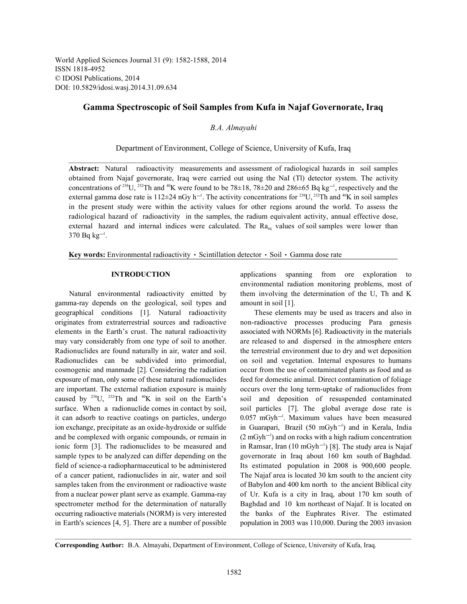World Applied Sciences Journal 31 (9): 1582-1588, 2014 ISSN 1818-4952 © IDOSI Publications, 2014 DOI: 10.5829/idosi.wasj.2014.31.09.634

# **Gamma Spectroscopic of Soil Samples from Kufa in Najaf Governorate, Iraq**

*B.A. Almayahi*

Department of Environment, College of Science, University of Kufa, Iraq

**Abstract:** Natural radioactivity measurements and assessment of radiological hazards in soil samples obtained from Najaf governorate, Iraq were carried out using the NaI (Tl) detector system. The activity concentrations of <sup>238</sup>U, <sup>232</sup>Th and <sup>40</sup>K were found to be 78±18, 78±20 and 286±65 Bq kg<sup>-1</sup>, respectively and the external gamma dose rate is  $112\pm 24$  nGy h<sup>-1</sup>. The activity concentrations for <sup>238</sup>U, <sup>232</sup>Th and <sup>40</sup>K in soil samples in the present study were within the activity values for other regions around the world. To assess the radiological hazard of radioactivity in the samples, the radium equivalent activity, annual effective dose, external hazard and internal indices were calculated. The  $Ra_{eq}$  values of soil samples were lower than  $370 Bq kg^{-1}$ .

Key words: Environmental radioactivity · Scintillation detector · Soil · Gamma dose rate

gamma-ray depends on the geological, soil types and amount in soil [1]. geographical conditions [1]. Natural radioactivity These elements may be used as tracers and also in originates from extraterrestrial sources and radioactive non-radioactive processes producing Para genesis elements in the Earth's crust. The natural radioactivity associated with NORMs [6]. Radioactivity in the materials may vary considerably from one type of soil to another. are released to and dispersed in the atmosphere enters Radionuclides are found naturally in air, water and soil. the terrestrial environment due to dry and wet deposition Radionuclides can be subdivided into primordial, on soil and vegetation. Internal exposures to humans cosmogenic and manmade [2]. Considering the radiation occur from the use of contaminated plants as food and as exposure of man, only some of these natural radionuclides feed for domestic animal. Direct contamination of foliage are important. The external radiation exposure is mainly occurs over the long term-uptake of radionuclides from caused by  $^{238}$ U,  $^{232}$ Th and  $^{40}$ K in soil on the Earth's soil and deposition of resuspended contamina surface. When a radionuclide comes in contact by soil, soil particles [7]. The global average dose rate is it can adsorb to reactive coatings on particles, undergo ion exchange, precipitate as an oxide-hydroxide or sulfide in Guarapari, Brazil (50 mGyh<sup>-1</sup>) and in Kerala, India and be complexed with organic compounds, or remain in  $(2 \text{ mGyh}^{-1})$  and on rocks with a high radium concentration ionic form [3]. The radionuclides to be measured and in Ramsar, Iran  $(10 \text{ mGyh}^{-1})$  [8]. The study area is Najaf sample types to be analyzed can differ depending on the governorate in Iraq about 160 km south of Baghdad. field of science-a radiopharmaceutical to be administered Its estimated population in 2008 is 900,600 people. of a cancer patient, radionuclides in air, water and soil The Najaf area is located 30 km south to the ancient city samples taken from the environment or radioactive waste of Babylon and 400 km north to the ancient Biblical city from a nuclear power plant serve as example. Gamma-ray of Ur. Kufa is a city in Iraq, about 170 km south of spectrometer method for the determination of naturally Baghdad and 10 km northeast of Najaf. It is located on occurring radioactive materials (NORM) is very interested the banks of the Euphrates River. The estimated in Earth's sciences [4, 5]. There are a number of possible population in 2003 was 110,000. During the 2003 invasion

**INTRODUCTION** applications spanning from ore exploration to Natural environmental radioactivity emitted by them involving the determination of the U, Th and K environmental radiation monitoring problems, most of

> soil and deposition of resuspended contaminated  $0.057$  mGyh<sup>-1</sup>. Maximum values have been measured

**Corresponding Author:** B.A. Almayahi, Department of Environment, College of Science, University of Kufa, Iraq.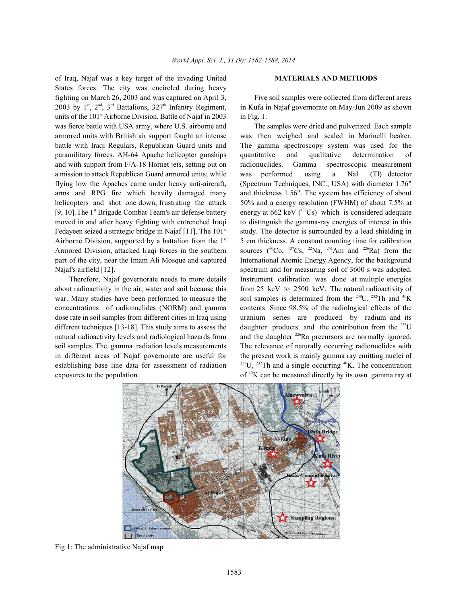of Iraq, Najaf was a key target of the invading United **MATERIALS AND METHODS** States forces. The city was encircled during heavy fighting on March 26, 2003 and was captured on April 3, Five soil samples were collected from different areas 2003 by 1<sup>st</sup>, 2<sup>nd</sup>, 3<sup>rd</sup> Battalions, 327<sup>th</sup> Infantry Regiment, in Kufa in Najaf governorate on May-Jun 2009 as shown units of the  $101<sup>st</sup>$  Airborne Division. Battle of Najaf in 2003 in Fig. 1. was fierce battle with USA army, where U.S. airborne and The samples were dried and pulverized. Each sample armored units with British air support fought an intense was then weighed and sealed in Marinelli beaker. battle with Iraqi Regulars, Republican Guard units and The gamma spectroscopy system was used for the paramilitary forces. AH-64 Apache helicopter gunships quantitative and qualitative determination of a mission to attack Republican Guard armored units; while was performed using a NaI (Tl) detector flying low the Apaches came under heavy anti-aircraft, (Spectrum Techniques, INC., USA) with diameter 1.76" arms and RPG fire which heavily damaged many and thickness 1.56". The system has efficiency of about helicopters and shot one down, frustrating the attack 50% and a energy resolution (FWHM) of about 7.5% at [9, 10]. The 1<sup>st</sup> Brigade Combat Team's air defense battery energy at 662 keV ( $^{137}Cs$ ) which is considered adequate moved in and after heavy fighting with entrenched Iraqi to distinguish the gamma-ray energies of interest in this Fedayeen seized a strategic bridge in Najaf  $[11]$ . The 101<sup>st</sup> study. The detector is surrounded by a lead shielding in Airborne Division, supported by a battalion from the  $1<sup>st</sup>$  5 cm thickness. A constant counting time for calibration Armored Division, attacked Iraqi forces in the southern sources ( ${}^{60}Co, {}^{137}Cs, {}^{22}Na, {}^{241}Am$  and  ${}^{226}Ra)$  from the part of the city, near the Imam Ali Mosque and captured International Atomic Energy Agency, for the background Najaf's airfield [12]. Spectrum and for measuring soil of 3600 s was adopted.

about radioactivity in the air, water and soil because this from 25 keV to 2500 keV. The natural radioactivity of war. Many studies have been performed to measure the soil samples is determined from the  $^{238}U$ ,  $^{232}Th$  and  $^{40}K$ concentrations of radionuclides (NORM) and gamma contents. Since 98.5% of the radiological effects of the dose rate in soil samples from different cities in Iraq using uranium series are produced by radium and its different techniques [13-18]. This study aims to assess the daughter products and the contribution from the  $^{238}$ U natural radioactivity levels and radiological hazards from and the daughter  $226$ Ra precursors are normally ignored. soil samples. The gamma radiation levels measurements The relevance of naturally occurring radionuclides with in different areas of Najaf governorate are useful for the present work is mainly gamma ray emitting nuclei of establishing base line data for assessment of radiation  $^{238}$ U,  $^{232}$ Th and a single occurring <sup>40</sup>K. The concentration exposures to the population.  $\mathbf{f}^4\mathbf{K}$  can be measured directly by its own gamma ray at

and with support from F/A-18 Hornet jets, setting out on radionuclides. Gamma spectroscopic measurement Therefore, Najaf governorate needs to more details Instrument calibration was done at multiple energies



Fig 1: The administrative Najaf map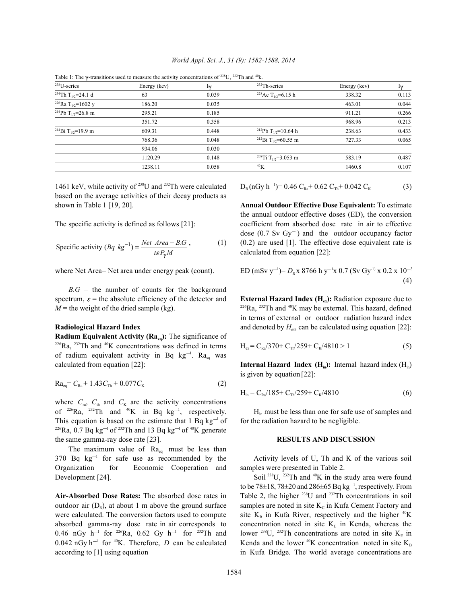| <sup>238</sup> U-series                    | Energy (kev) | Iγ    | $232$ Th-series                             | Energy (kev) | Iγ    |
|--------------------------------------------|--------------|-------|---------------------------------------------|--------------|-------|
| <sup>234</sup> Th T <sub>1/2</sub> =24.1 d | 63           | 0.039 | <sup>228</sup> Ac T <sub>1/2</sub> =6.15 h  | 338.32       | 0.113 |
| <sup>226</sup> Ra T <sub>1/2</sub> =1602 y | 186.20       | 0.035 |                                             | 463.01       | 0.044 |
| <sup>214</sup> Pb T <sub>1/2</sub> =26.8 m | 295.21       | 0.185 |                                             | 911.21       | 0.266 |
|                                            | 351.72       | 0.358 |                                             | 968.96       | 0.213 |
| <sup>214</sup> Bi T <sub>1/2</sub> =19.9 m | 609.31       | 0.448 | <sup>212</sup> Pb T <sub>1/2</sub> =10.64 h | 238.63       | 0.433 |
|                                            | 768.36       | 0.048 | <sup>212</sup> Bi T <sub>1/2</sub> =60.55 m | 727.33       | 0.065 |
|                                            | 934.06       | 0.030 |                                             |              |       |
|                                            | 1120.29      | 0.148 | <sup>208</sup> Ti T <sub>1/2</sub> =3.053 m | 583.19       | 0.487 |
|                                            | 1238.11      | 0.058 | 40 <sub>K</sub>                             | 1460.8       | 0.107 |
|                                            |              |       |                                             |              |       |

Table 1: The  $\gamma$ -transitions used to measure the activity concentrations of <sup>238</sup>U, <sup>232</sup>Th and <sup>40</sup>k.

based on the average activities of their decay products as shown in Table 1 [19, 20]. **Annual Outdoor Effective Dose Equivalent:** To estimate

Specific activity 
$$
(Bq \text{ kg}^{-1}) = \frac{Net \text{ Area} - B.G}{teP_{\gamma}M}
$$
, (1)

where Net Area= Net area under energy peak (count).

 $B.G =$  the number of counts for the background spectrum,  $\varepsilon$  = the absolute efficiency of the detector and **External Hazard Index (H<sub>ex</sub>):** Radiation exposure due to

**Radium Equivalent Activity (Ra<sub>eq</sub>):** The significance of  $226$ Ra,  $232$ Th and  $40$ K concentrations was defined in terms of radium equivalent activity in Bq  $kg^{-1}$ . Ra<sub>eq</sub> was

$$
Ra_{eq} = C_{Ra} + 1.43C_{Th} + 0.077C_{K}
$$
 (2)

where  $C_{\text{ra}}$ ,  $C_{\text{th}}$  and  $C_{\text{K}}$  are the activity concentrations of  $226$ Ra,  $232$ Th and  $40$ K in Bq kg<sup>-1</sup>, respectively. This equation is based on the estimate that  $1 \text{ Bq kg}^{-1}$  of for the radiation hazard to be negligible. <sup>226</sup>Ra, 0.7 Bq kg<sup>-1</sup> of <sup>232</sup>Th and 13 Bq kg<sup>-1</sup> of <sup>40</sup>K generate the same gamma-ray dose rate [23]. **RESULTS AND DISCUSSION**

The maximum value of  $Ra_{eq}$  must be less than  $370$  Bq kg<sup>-1</sup> for safe use as recommended by the Activity levels of U, Th and K of the various soil Organization for Economic Cooperation and samples were presented in Table 2. Development [24]. Soil<sup>238</sup>U, <sup>232</sup>Th and <sup>40</sup>K in the study area were found

 $0.042 \text{ nGy h}^{-1}$  for <sup>40</sup>K. Therefore, *D* can be calculated according to [1] using equation in Kufa Bridge. The world average concentrations are

1461 keV, while activity of <sup>238</sup>U and <sup>232</sup>Th were calculated 
$$
D_R(nGy h^{-1}) = 0.46 C_{Ra} + 0.62 C_{Th} + 0.042 C_K
$$
 (3)

The specific activity is defined as follows [21]: coefficient from absorbed dose rate in air to effective  $(0.2)$  are used [1]. The effective dose equivalent rate is the annual outdoor effective doses (ED), the conversion dose  $(0.7 \text{ Sv } \text{Gy}^{-1})$  and the outdoor occupancy factor calculated from equation [22]:

ED (mSv y<sup>-1</sup>)= 
$$
D_R x
$$
 8766 h y<sup>-1</sup>x 0.7 (Sv Gy<sup>-1</sup>) x 0.2 x 10<sup>-3</sup> (4)

 $M$  = the weight of the dried sample (kg).  $\frac{226}{R}$   $\frac{232}{R}$  and <sup>40</sup>K may be external. This hazard, defined **Radiological Hazard Index** and denoted by  $H_{\text{ex}}$  can be calculated using equation [22]: in terms of external or outdoor radiation hazard index

$$
H_{ex} = C_{Ra}/370 + C_{Th}/259 + C_{K}/4810 > 1
$$
 (5)

calculated from equation  $[22]$ : **Internal Hazard Index (H<sub>in</sub>):** Internal hazard index (H<sub>in</sub>) is given by equation [22]:

$$
H_{in} = C_{Ra}/185 + C_{Th}/259 + C_{K}/4810
$$
 (6)

 $H_{in}$  must be less than one for safe use of samples and

**Air-Absorbed Dose Rates:** The absorbed dose rates in Table 2, the higher  $^{238}$ U and  $^{232}$ Th concentrations in soil outdoor air  $(D_R)$ , at about 1 m above the ground surface samples are noted in site  $K_c$  in Kufa Cement Factory and were calculated. The conversion factors used to compute site  $K_R$  in Kufa River, respectively and the higher <sup>40</sup>K absorbed gamma-ray dose rate in air corresponds to concentration noted in site  $K<sub>E</sub>$  in Kenda, whereas the 0.46 nGy h<sup>-1</sup> for <sup>226</sup>Ra, 0.62 Gy h<sup>-1</sup> for <sup>232</sup>Th and lower <sup>238</sup>U, <sup>232</sup>Th concentrations are noted in site K<sub>E</sub> in to be 78 $\pm$ 18, 78 $\pm$ 20 and 286 $\pm$ 65 Bq kg<sup>-1</sup>, respectively. From  $^{40}$ K concentration noted in site  $K_B$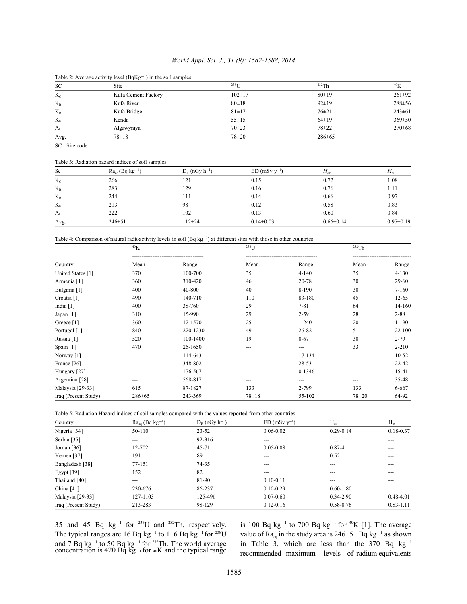# *World Appl. Sci. J., 31 (9): 1582-1588, 2014*

| Table 2. Average activity lever ( $\frac{1}{2}$ ( $\frac{1}{2}$ ) in the son samples |                     |              |              |                 |  |  |
|--------------------------------------------------------------------------------------|---------------------|--------------|--------------|-----------------|--|--|
| <b>SC</b>                                                                            | Site                | $238$ [ J    | 232Th        | 40 <sub>K</sub> |  |  |
| $K_c$                                                                                | Kufa Cement Factory | $102 \pm 17$ | 80±19        | $261 \pm 92$    |  |  |
| $K_{R}$                                                                              | Kufa River          | $80 \pm 18$  | $92 \pm 19$  | $288 + 56$      |  |  |
| $K_{B}$                                                                              | Kufa Bridge         | $81 \pm 17$  | $76 \pm 21$  | $243 \pm 61$    |  |  |
| $K_{E}$                                                                              | Kenda               | $55 \pm 15$  | $64\pm19$    | $369 \pm 50$    |  |  |
| $A_{L}$                                                                              | Algzwyniya          | $70 + 23$    | $78 + 22$    | $270 \pm 68$    |  |  |
| Avg.                                                                                 | $78 \pm 18$         | $78 + 20$    | $286 \pm 65$ |                 |  |  |

# Table 2: Average activity level  $(BaKg^{-1})$  in the soil samples

SC= Site code

### Table 3: Radiation hazard indices of soil samples

| Sc      | $Ra_{eq}(Bq kg^{-1})$ | $D_R$ (nGy h <sup>-1</sup> ) | $ED(mSv v^{-1})$ | $H_{\alpha x}$  | $H_{in}$        |
|---------|-----------------------|------------------------------|------------------|-----------------|-----------------|
| $K_{C}$ | 266                   | 121                          | 0.15             | 0.72            | 1.08            |
| $K_{R}$ | 283                   | 129                          | 0.16             | 0.76            | 1.11            |
| $K_B$   | 244                   | 111                          | 0.14             | 0.66            | 0.97            |
| $K_{E}$ | 213                   | 98                           | 0.12             | 0.58            | 0.83            |
| $A_{L}$ | 222                   | 102                          | 0.13             | 0.60            | 0.84            |
| Avg.    | $246 \pm 51$          | $112+24$                     | $0.14 \pm 0.03$  | $0.66 \pm 0.14$ | $0.97 \pm 0.19$ |

Table 4: Comparison of natural radioactivity levels in soil (Bq  $kg<sup>-1</sup>$ ) at different sites with those in other countries

|                        | 40 <sub>K</sub> |          | 238 <sub>L</sub> J |            | 232Th |           |
|------------------------|-----------------|----------|--------------------|------------|-------|-----------|
| Country                | Mean            | Range    | Mean               | Range      | Mean  | Range     |
| United States [1]      | 370             | 100-700  | 35                 | $4 - 140$  | 35    | $4 - 130$ |
| Armenia [1]            | 360             | 310-420  | 46                 | 20-78      | 30    | 29-60     |
| Bulgaria [1]           | 400             | 40-800   | 40                 | 8-190      | 30    | $7 - 160$ |
| Croatia <sup>[1]</sup> | 490             | 140-710  | 110                | 83-180     | 45    | 12-65     |
| India $[1]$            | 400             | 38-760   | 29                 | $7 - 81$   | 64    | 14-160    |
| Japan [1]              | 310             | 15-990   | 29                 | $2 - 59$   | 28    | $2 - 88$  |
| Greece [1]             | 360             | 12-1570  | 25                 | $1 - 240$  | 20    | $1-190$   |
| Portugal [1]           | 840             | 220-1230 | 49                 | 26-82      | 51    | 22-100    |
| Russia [1]             | 520             | 100-1400 | 19                 | $0 - 67$   | 30    | $2 - 79$  |
| Spain $[1]$            | 470             | 25-1650  | ---                | ---        | 33    | $2 - 210$ |
| Norway [1]             | ---             | 114-643  | ---                | 17-134     | ---   | 10-52     |
| France [26]            | ---             | 348-802  | ---                | 28-53      | ---   | 22-42     |
| Hungary [27]           | ---             | 176-567  | ---                | $0 - 1346$ | ---   | 15-41     |
| Argentina [28]         |                 | 568-817  |                    | ---        |       | 35-48     |
| Malaysia [29-33]       | 615             | 87-1827  | 133                | 2-799      | 133   | 6-667     |
| Iraq (Present Study)   | 286±65          | 243-369  | $78 + 18$          | 55-102     | 78±20 | 64-92     |

Table 5: Radiation Hazard indices of soil samples compared with the values reported from other countries

| Country              | $Ra_{eq}$ (Bq kg <sup>-1</sup> ) | $D_R$ (nGy $h^{-1}$ ) | $ED(mSv v^{-1})$ | $H_{\rm ex}$  | $H_{in}$      |
|----------------------|----------------------------------|-----------------------|------------------|---------------|---------------|
| Nigeria [34]         | 50-110                           | $23 - 52$             | $0.06 - 0.02$    | $0.29 - 0.14$ | $0.18 - 0.37$ |
| Serbia [35]          | $---$                            | 92-316                | $---$            | .             | $---$         |
| Jordan [36]          | 12-702                           | 45-71                 | $0.05 - 0.08$    | $0.87 - 4$    | ---           |
| Yemen $[37]$         | 191                              | 89                    | ---              | 0.52          | ---           |
| Bangladesh [38]      | 77-151                           | 74-35                 | ---              | $---$         | ---           |
| Egypt $[39]$         | 152                              | 82                    | ---              |               | ---           |
| Thailand [40]        | $---$                            | 81-90                 | $0.10 - 0.11$    | $---$         | $---$         |
| China $[41]$         | 230-676                          | 86-237                | $0.10 - 0.29$    | $0.60 - 1.80$ | .             |
| Malaysia [29-33]     | 127-1103                         | 125-496               | $0.07 - 0.60$    | $0.34 - 2.90$ | $0.48 - 4.01$ |
| Iraq (Present Study) | 213-283                          | 98-129                | $0.12 - 0.16$    | 0.58-0.76     | $0.83 - 1.11$ |

and 7 Bq kg<sup>-1</sup> to 50 Bq kg<sup>-1</sup> for <sup>232</sup>Th. The world average in Table 3, which are less than the 370 Bq kg concentration is 420 Bq  $kg^-$  for  $40K$  and the typical range

35 and 45 Bq kg<sup>-1</sup> for <sup>238</sup>U and <sup>232</sup>Th, respectively. is 100 Bq kg<sup>-1</sup> to 700 Bq kg<sup>-1</sup> for <sup>40</sup>K [1]. The average The typical ranges are 16 Bq kg<sup>-1</sup> to 116 Bq kg<sup>-1</sup> for <sup>238</sup>U value of Ra<sub>sa</sub> in the study area is 246±51 Bq kg<sup>-1</sup> as shown recommended maximum levels of radium equivalents  $1$  to 700  $\text{Da}$   $k\sigma^{-1}$  for  $40$  $_{eq}$  in the study area is 246±51 Bq kg<sup>-1</sup> in Table 3, which are less than the 370 Bq  $kg^{-1}$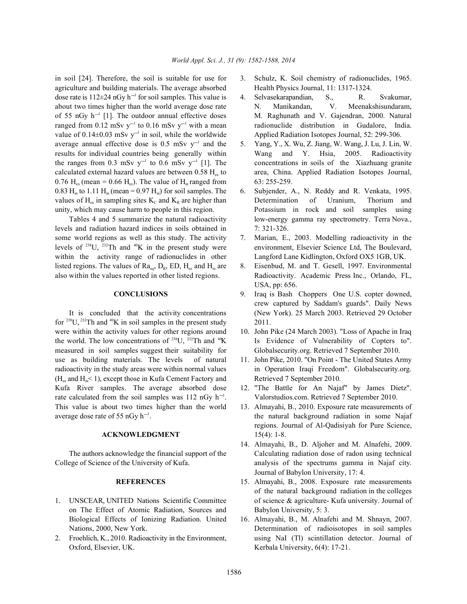agriculture and building materials. The average absorbed Health Physics Journal, 11: 1317-1324. dose rate is  $112\pm 24$  nGy h<sup>-1</sup> for soil samples. This value is 4. Selvasekarapandian, S., R. Svakumar, about two times higher than the world average dose rate N. Manikandan, V. Meenakshisundaram, of 55 nGy  $h^{-1}$  [1]. The outdoor annual effective doses M. Raghunath and V. Gajendran, 2000. Natural ranged from 0.12 mSv  $y^{-1}$  to 0.16 mSv  $y^{-1}$  with a mean radionuclide distribution in Gudalore, India. value of  $0.14\pm0.03$  mSv y<sup>-1</sup> in soil, while the worldwide Applied Radiation Isotopes Journal, 52: 299-306. average annual effective dose is 0.5 mSv  $y^{-1}$  and the 5. Yang, Y., X. Wu, Z. Jiang, W. Wang, J. Lu, J. Lin, W. results for individual countries being generally within Wang and Y. Hsia, 2005. Radioactivity the ranges from 0.3 mSv y<sup>-1</sup> to 0.6 mSv y<sup>-1</sup> [1]. The concentrations in soils of the Xiazhuang granite calculated external hazard values are between 0.58  $H_{ex}$  to area, China. Applied Radiation Isotopes Journal, 0.76 H<sub>ex</sub> (mean = 0.66 H<sub>ex</sub>). The value of H<sub>in</sub> ranged from 63: 255-259. 0.83 H<sub>in</sub> to 1.11 H<sub>in</sub> (mean = 0.97 H<sub>in</sub>) for soil samples. The 6. Subjender, A., N. Reddy and R. Venkata, 1995. values of H<sub>ex</sub> in sampling sites K<sub>c</sub> and K<sub>R</sub> are higher than Determination of Uranium, Thorium and unity, which may cause harm to people in this region. Potassium in rock and soil samples using

levels and radiation hazard indices in soils obtained in 7: 321-326. some world regions as well as this study. The activity 7. Marian, E., 2003. Modelling radioactivity in the levels of  $^{238}$ U,  $^{232}$ Th and  $^{40}$ K in the present study were environment, Elsevier Science Ltd, The Boulevard, within the activity range of radionuclides in other Langford Lane Kidlington, Oxford OX5 1GB, UK. listed regions. The values of  $Ra_{eq}$ ,  $D_{R}$ , ED,  $H_{ex}$  and  $H_{in}$  are 8. Eisenbud, M. and T. Gesell, 1997. Environmental also within the values reported in other listed regions. Radioactivity. Academic Press Inc., Orlando, FL,

for  $238$ U,  $232$ Th and  $40$ K in soil samples in the present study 2011. were within the activity values for other regions around 10. John Pike (24 March 2003). "Loss of Apache in Iraq<br>the world. The low concentrations of  $^{238}$ U,  $^{232}$ Th and  $^{40}$ K Is Evidence of Vulnerability of Copters measured in soil samples suggest their suitability for Globalsecurity.org. Retrieved 7 September 2010. use as building materials. The levels of natural 11. John Pike, 2010. "On Point - The United States Army radioactivity in the study areas were within normal values in Operation Iraqi Freedom". Globalsecurity.org.  $(H_{\alpha} \text{ and } H_{\alpha} < 1)$ , except those in Kufa Cement Factory and Retrieved 7 September 2010. Kufa River samples. The average absorbed dose 12. "The Battle for An Najaf" by James Dietz". rate calculated from the soil samples was 112 nGy  $h^{-1}$ . Valorstudios.com. Retrieved 7 September 2010. This value is about two times higher than the world 13. Almayahi, B., 2010. Exposure rate measurements of average dose rate of 55  $nGy$  h<sup>-1</sup>. the natural background radiation in some Najaf

### **ACKNOWLEDGMENT** 15(4): 1-8.

College of Science of the University of Kufa. analysis of the spectrums gamma in Najaf city.

- on The Effect of Atomic Radiation, Sources and Babylon University, 5: 3. Biological Effects of Ionizing Radiation. United 16. Almayahi, B., M. Alnafehi and M. Shnayn, 2007.
- Oxford, Elsevier, UK. Kerbala University, 6(4): 17-21.
- in soil [24]. Therefore, the soil is suitable for use for 3. Schulz, K. Soil chemistry of radionuclides, 1965.
	-
	-
	- Tables 4 and 5 summarize the natural radioactivity low-energy gamma ray spectrometry. Terra Nova.,
		-
		- USA, pp: 656.
	- **CONCLUSIONS** 9. Iraq is Bash Choppers One U.S. copter downed, It is concluded that the activity concentrations (New York). 25 March 2003. Retrieved 29 October crew captured by Saddam's guards". Daily News
		- Is Evidence of Vulnerability of Copters to".
		-
		-
		- regions. Journal of Al-Qadisiyah for Pure Science,
	- The authors acknowledge the financial support of the Calculating radiation dose of radon using technical 14. Almayahi, B., D. Aljoher and M. Alnafehi, 2009. Journal of Babylon University, 17: 4.
- **REFERENCES** 15. Almayahi, B., 2008. Exposure rate measurements 1. UNSCEAR, UNITED Nations Scientific Committee of science & agriculture- Kufa university. Journal of of the natural background radiation in the colleges
- Nations, 2000, New York. Determination of radioisotopes in soil samples 2. Froehlich, K., 2010. Radioactivity in the Environment, using NaI (Tl) scintillation detector. Journal of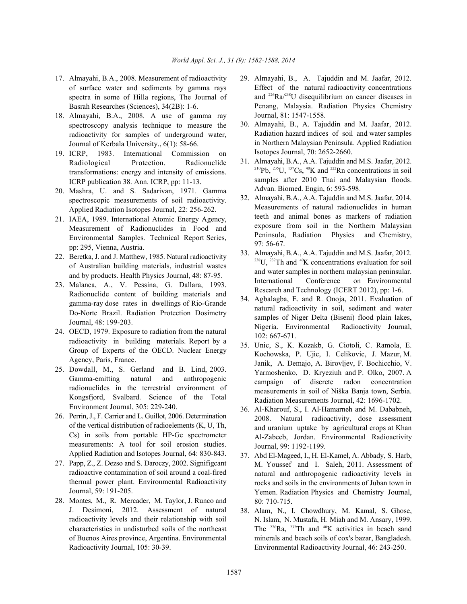- 17. Almayahi, B.A., 2008. Measurement of radioactivity 29. Almayahi, B., A. Tajuddin and M. Jaafar, 2012. of surface water and sediments by gamma rays spectra in some of Hilla regions, The Journal of Basrah Researches (Sciences), 34(2B): 1-6.
- 18. Almayahi, B.A., 2008. A use of gamma ray spectroscopy analysis technique to measure the radioactivity for samples of underground water, Journal of Kerbala University., 6(1): 58-66.
- 19. ICRP, 1983. International Commission on Radiological Protection. Radionuclide transformations: energy and intensity of emissions. ICRP publication 38. Ann. ICRP, pp: 11-13.
- 20. Mashra, U. and S. Sadarivan, 1971. Gamma spectroscopic measurements of soil radioactivity. Applied Radiation Isotopes Journal, 22: 256-262.
- 21. IAEA, 1989. International Atomic Energy Agency, Measurement of Radionuclides in Food and Environmental Samples. Technical Report Series, pp: 295, Vienna, Austria.
- 22. Beretka, J. and J. Matthew, 1985. Natural radioactivity of Australian building materials, industrial wastes and by products. Health Physics Journal, 48: 87-95.
- 23. Malanca, A., V. Pessina, G. Dallara, 1993. Radionuclide content of building materials and gamma-ray dose rates in dwellings of Rio-Grande Do-Norte Brazil. Radiation Protection Dosimetry Journal, 48: 199-203.
- 24. OECD, 1979. Exposure to radiation from the natural radioactivity in building materials. Report by a Group of Experts of the OECD. Nuclear Energy Agency, Paris, France.
- 25. Dowdall, M., S. Gerland and B. Lind, 2003. Gamma-emitting natural and anthropogenic radionuclides in the terrestrial environment of Kongsfjord, Svalbard. Science of the Total Environment Journal, 305: 229-240.
- 26. Perrin, J., F. Carrier and L. Guillot, 2006. Determination of the vertical distribution of radioelements (K, U, Th, Cs) in soils from portable HP-Ge spectrometer measurements: A tool for soil erosion studies. Applied Radiation and Isotopes Journal, 64: 830-843.
- 27. Papp, Z., Z. Dezso and S. Daroczy, 2002. Signifigcant radioactive contamination of soil around a coal-fired thermal power plant. Environmental Radioactivity Journal, 59: 191-205.
- 28. Montes, M., R. Mercader, M. Taylor, J. Runco and J. Desimoni, 2012. Assessment of natural radioactivity levels and their relationship with soil characteristics in undisturbed soils of the northeast of Buenos Aires province, Argentina. Environmental Radioactivity Journal, 105: 30-39.
- Effect of the natural radioactivity concentrations and  $^{226}Ra/^{238}U$  disequilibrium on cancer diseases in Penang, Malaysia. Radiation Physics Chemistry Journal, 81: 1547-1558.
- 30. Almayahi, B., A. Tajuddin and M. Jaafar, 2012. Radiation hazard indices of soil and water samples in Northern Malaysian Peninsula. Applied Radiation Isotopes Journal, 70: 2652-2660.
- 31. Almayahi, B.A., A.A. Tajuddin and M.S. Jaafar, 2012. <sup>210</sup>Pb, <sup>235</sup>U, <sup>137</sup>Cs, <sup>40</sup>K and <sup>222</sup>Rn concentrations in soil samples after 2010 Thai and Malaysian floods. Advan. Biomed. Engin, 6: 593-598.
- 32. Almayahi, B.A., A.A. Tajuddin and M.S. Jaafar, 2014. Measurements of natural radionuclides in human teeth and animal bones as markers of radiation exposure from soil in the Northern Malaysian Peninsula, Radiation Physics and Chemistry, 97: 56-67.
- 33. Almayahi, B.A., A.A. Tajuddin and M.S. Jaafar, 2012.  $^{238}$ U,  $^{232}$ Th and  $^{40}$ K concentrations evaluation for soil and water samples in northern malaysian peninsular. International Conference on Environmental Research and Technology (ICERT 2012), pp: 1-6.
- 34. Agbalagba, E. and R. Onoja, 2011. Evaluation of natural radioactivity in soil, sediment and water samples of Niger Delta (Biseni) flood plain lakes, Nigeria. Environmental Radioactivity Journal, 102: 667-671.
- 35. Unic, S., K. Kozakb, G. Ciotoli, C. Ramola, E. Kochowska, P. Ujic, I. Celikovic, J. Mazur, M. Janik, A. Demajo, A. Birovljev, F. Bochicchio, V. Yarmoshenko, D. Kryeziuh and P. Olko, 2007. A campaign of discrete radon concentration measurements in soil of Niška Banja town, Serbia. Radiation Measurements Journal, 42: 1696-1702.
- 36. Al-Kharouf, S., I. Al-Hamarneh and M. Dababneh, 2008. Natural radioactivity, dose assessment and uranium uptake by agricultural crops at Khan Al-Zabeeb, Jordan. Environmental Radioactivity Journal, 99: 1192-1199.
- 37. Abd El-Mageed, I., H. El-Kamel, A. Abbady, S. Harb, M. Youssef and I. Saleh, 2011. Assessment of natural and anthropogenic radioactivity levels in rocks and soils in the environments of Juban town in Yemen. Radiation Physics and Chemistry Journal, 80: 710-715.
- 38. Alam, N., I. Chowdhury, M. Kamal, S. Ghose, N. Islam, N. Mustafa, H. Miah and M. Ansary, 1999. The  $226$ Ra,  $232$ Th and  $40$ K activities in beach sand minerals and beach soils of cox's bazar, Bangladesh. Environmental Radioactivity Journal, 46: 243-250.